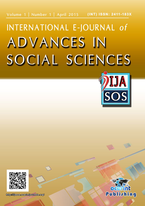# INTERNATIONAL E-JOURNAL of ADVANCES IN SOCIAL SCIENCES





http://llasos.ocerintlournals.org/

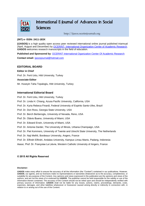

http://ijasos.ocerintjournals.org

#### **(INT) e- ISSN: 2411-183X**

**(IJASOS)** is a high quality open access peer reviewed international online journal published triannual (April, August and December) by OCERINT- [International Organization Center of Academic Research.](http://www.ocerint.org/) **IJASOS** welcomes research manuscripts in the field of education.

**Published and Sponsored by**: [OCERINT International Oganizaiton Center Of Academic Research](http://www.ocerint.org/) **Contact email:** [ijasosjournal@hotmail.com](mailto:ijasosjournal@hotmail.com)

#### **EDITORIAL BOARD**

**Editor in Chief** Prof. Dr. Ferit Uslu, Hitit University, Turkey **Associate Editor** Mr. Huseyin Taha Topaloglu, Hitit University, Turkey

#### **International Editorial Board**

[Prof. Dr. Ferit Uslu,](javascript:openRTWindow() Hitit University, Turkey

- [Prof. Dr. Linda H. Chiang,](javascript:openRTWindow() Azusa Pacific University, California, USA
- [Prof. Dr. Kyria Rebeca Finardi,](javascript:openRTWindow() Federal University of Espirito Santo-Ufes, Brazil
- [Prof. Dr. Don Ross,](javascript:openRTWindow() Georgia State University, USA
- [Prof. Dr. Berch Berberoglu,](javascript:openRTWindow() University of Nevada, Reno, USA
- [Prof. Dr. Otávio Bueno,](javascript:openRTWindow() University of Miami, USA
- [Prof. Dr. Edward Erwin,](javascript:openRTWindow() University of Miami, USA
- [Prof. Dr. Antonia Darder,](javascript:openRTWindow() The University of Illinois, Urbana-Champaign, USA
- [Prof. Dr. Piet Kommers,](javascript:openRTWindow() University of Twente and Utrecht State University, The Netherlands
- [Prof. Dr. Naji Melhli,](javascript:openRTWindow() Bordeaux University, Angers, France
- [Prof. Dr. Elfindri Elfindri,](javascript:openRTWindow() Andalas University, Kampus Limau Manis, Padang, Indonesia
- [Assoc. Prof. Dr. Françoise Le Lièvre,](javascript:openRTWindow() Western Catholic University of Angers, France

#### **© 2015 All Rights Reserved**

#### **Disclaimer:**

**IJASOS** make every effort to ensure the accuracy of all the information (the "Content") contained in our publications. However, **IJASOS**, our agents, and our licensors make no representations or warranties whatsoever as to the accuracy, completeness, or suitability for any purpose of the Content. Any opinions and views expressed in this publication are the opinions and views of the authors, and are not the views of or endorsed by **IJASOS**. The publisher cannot be held responsible for the validity or use of the information therein contained. The accuracy of the Content should not be relied upon and should be independently verified with primary sources of information. **IJASOS** shall not be liable for any losses, actions, claims, proceedings, demands, costs, expenses, damages, and other liabilities whatsoever or howsoever caused arising directly or indirectly in connection with, in relation to or arising out of the use of the Content.